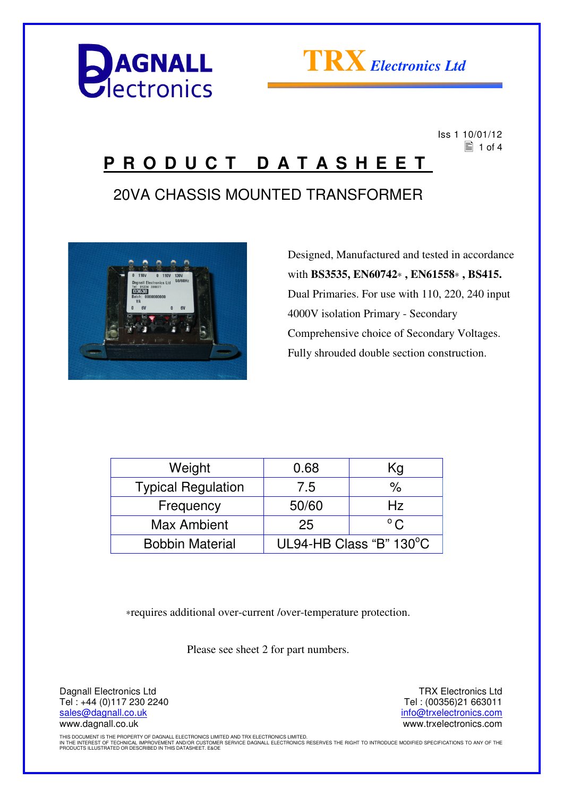



 Iss 1 10/01/12  $\equiv$  1 of 4

### **P R O D U C T D A T A S H E E T**

### 20VA CHASSIS MOUNTED TRANSFORMER



 Designed, Manufactured and tested in accordance with **BS3535, EN60742**∗ **, EN61558**∗ **, BS415.** Dual Primaries. For use with 110, 220, 240 input 4000V isolation Primary - Secondary Comprehensive choice of Secondary Voltages. Fully shrouded double section construction.

| Weight                    | 0.68                    | Kg            |
|---------------------------|-------------------------|---------------|
| <b>Typical Regulation</b> | 7.5                     | %             |
| Frequency                 | 50/60                   | Hz            |
| Max Ambient               | 25                      | $^{\circ}$ C. |
| <b>Bobbin Material</b>    | UL94-HB Class "B" 130°C |               |

∗requires additional over-current /over-temperature protection.

Please see sheet 2 for part numbers.

Dagnall Electronics Ltd Tel : +44 (0)117 230 2240 sales@dagnall.co.uk www.dagnall.co.uk

TRX Electronics Ltd Tel : (00356)21 663011 info@trxelectronics.com www.trxelectronics.com

THIS DOCUMENT IS THE PROPERTY OF DAGNALL ELECTRONICS LIMITED AND TRX ELECTRONICS LIMITED.<br>IN THE INTEREST OF TECHNICAL IMPROVEMENT AND/OR CUSTOMER SERVICE DAGNALL ELECTRONICS RESERVES THE RIGHT TO INTRODUCE MODIFIED SPECIF PRODUCTS ILLUSTRATED OR DESCRIBED IN THIS DATASHEET. E&OE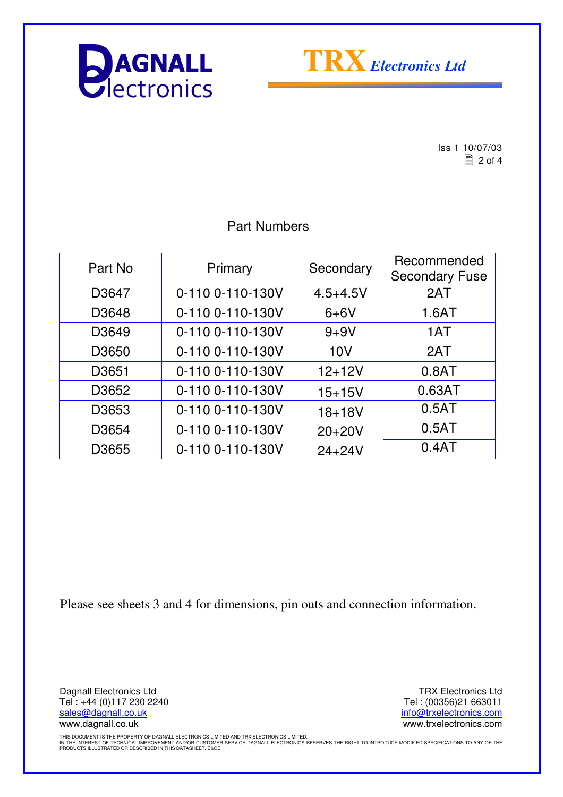



 $\begin{array}{r} \n \text{Iss 1 } 10/07/03 \\
\hline\n \text{2 of 4}\n \end{array}$  $\equiv$  2 of 4

#### Part Numbers

| Part No           | Primary          | Secondary    | Recommended<br><b>Secondary Fuse</b> |
|-------------------|------------------|--------------|--------------------------------------|
| D3647             | 0-110 0-110-130V | $4.5 + 4.5V$ | 2AT                                  |
| D3648             | 0-110 0-110-130V | $6+6V$       | 1.6AT                                |
| D3649             | 0-110 0-110-130V | $9 + 9V$     | 1AT                                  |
| D3650             | 0-110 0-110-130V | 10V          | 2AT                                  |
| D <sub>3651</sub> | 0-110 0-110-130V | $12 + 12V$   | 0.8AT                                |
| D3652             | 0-110 0-110-130V | $15 + 15V$   | 0.63AT                               |
| D3653             | 0-110 0-110-130V | $18 + 18V$   | 0.5AT                                |
| D3654             | 0-110 0-110-130V | $20+20V$     | 0.5AT                                |
| D3655             | 0-110 0-110-130V | $24 + 24V$   | 0.4AT                                |

Please see sheets 3 and 4 for dimensions, pin outs and connection information.

Dagnall Electronics Ltd Tel : +44 (0)117 230 2240 sales@dagnall.co.uk www.dagnall.co.uk

TRX Electronics Ltd Tel : (00356)21 663011 info@trxelectronics.com www.trxelectronics.com

THIS DOCUMENT IS THE PROPERTY OF DAGNALL ELECTRONICS LIMITED AND TRX ELECTRONICS LIMITED.<br>IN THE INTEREST OF TECHNICAL IMPROVEMENT AND/OR CUSTOMER SERVICE DAGNALL ELECTRONICS RESERVES THE RIGHT TO INTRODUCE MODIFIED SPECIF PRODUCTS ILLUSTRATED OR DESCRIBED IN THIS DATASHEET. E&OE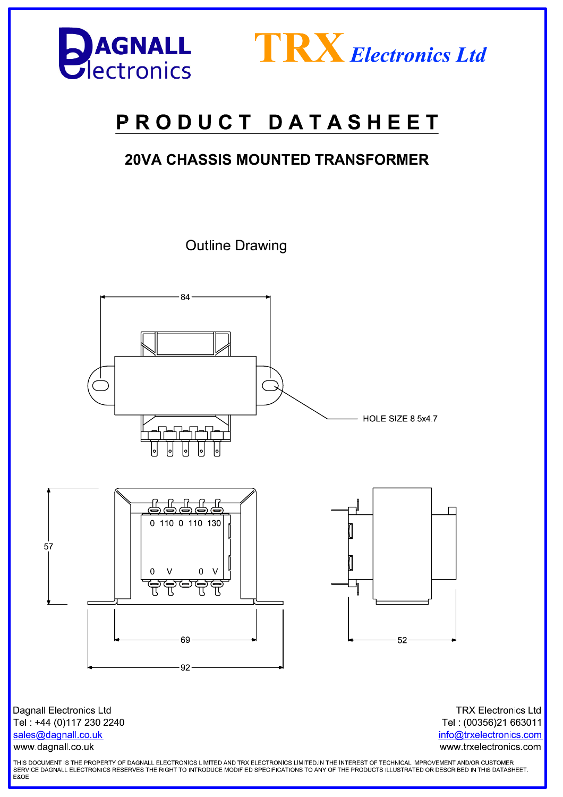



# PRODUCT DATASHEET

### **20VA CHASSIS MOUNTED TRANSFORMER**

**Outline Drawing** 



**Dagnall Electronics Ltd** Tel: +44 (0)117 230 2240 sales@dagnall.co.uk www.dagnall.co.uk

**TRX Electronics Ltd** Tel: (00356)21 663011 info@trxelectronics.com www.trxelectronics.com

THIS DOCUMENT IS THE PROPERTY OF DAGNALL ELECTRONICS LIMITED AND TRX ELECTRONICS LIMITED.IN THE INTEREST OF TECHNICAL IMPROVEMENT AND/OR CUSTOMER SERVICE DAGNALL ELECTRONICS RESERVES THE RIGHT TO INTRODUCE MODIFIED SPECIFICATIONS TO ANY OF THE PRODUCTS ILLUSTRATED OR DESCRIBED IN THIS DATASHEET.<br>E&OE